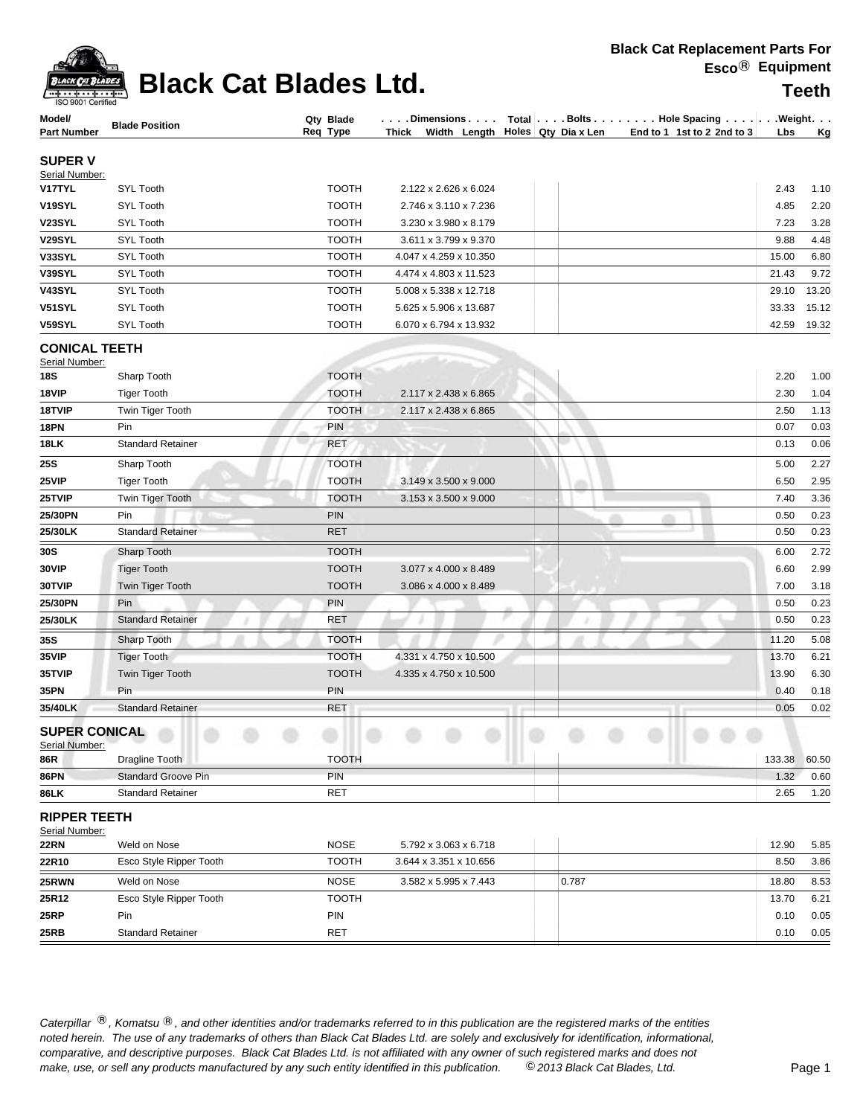| ACK CAT        |
|----------------|
| 9001 Certified |

## **Black Cat Blades Ltd. Exco** Equipment

| Model/                                 | <b>Blade Position</b>      | Qty Blade    |                                        |       | Dimensions   Total   Bolts    Hole Spacing     Weight |        |           |
|----------------------------------------|----------------------------|--------------|----------------------------------------|-------|-------------------------------------------------------|--------|-----------|
| <b>Part Number</b>                     |                            | Req Type     | Thick Width Length Holes Qty Dia x Len |       | End to 1 1st to 2 2nd to 3                            | Lbs    | <u>Kg</u> |
| <b>SUPER V</b>                         |                            |              |                                        |       |                                                       |        |           |
| Serial Number:                         |                            |              |                                        |       |                                                       |        |           |
| V17TYL                                 | <b>SYL Tooth</b>           | <b>TOOTH</b> | 2.122 x 2.626 x 6.024                  |       |                                                       | 2.43   | 1.10      |
| <b>V19SYL</b>                          | <b>SYL Tooth</b>           | <b>TOOTH</b> | 2.746 x 3.110 x 7.236                  |       |                                                       | 4.85   | 2.20      |
| <b>V23SYL</b>                          | <b>SYL Tooth</b>           | <b>TOOTH</b> | 3.230 x 3.980 x 8.179                  |       |                                                       | 7.23   | 3.28      |
| <b>V29SYL</b>                          | <b>SYL Tooth</b>           | <b>TOOTH</b> | 3.611 x 3.799 x 9.370                  |       |                                                       | 9.88   | 4.48      |
| V33SYL                                 | <b>SYL Tooth</b>           | <b>TOOTH</b> | 4.047 x 4.259 x 10.350                 |       |                                                       | 15.00  | 6.80      |
| V39SYL                                 | SYL Tooth                  | <b>TOOTH</b> | 4.474 x 4.803 x 11.523                 |       |                                                       | 21.43  | 9.72      |
| V43SYL                                 | SYL Tooth                  | <b>TOOTH</b> | 5.008 x 5.338 x 12.718                 |       |                                                       | 29.10  | 13.20     |
| <b>V51SYL</b>                          | SYL Tooth                  | <b>TOOTH</b> | 5.625 x 5.906 x 13.687                 |       |                                                       | 33.33  | 15.12     |
| V59SYL                                 | <b>SYL Tooth</b>           | <b>TOOTH</b> | 6.070 x 6.794 x 13.932                 |       |                                                       | 42.59  | 19.32     |
| <b>CONICAL TEETH</b><br>Serial Number: |                            |              |                                        |       |                                                       |        |           |
| 18S                                    | Sharp Tooth                | <b>TOOTH</b> |                                        |       |                                                       | 2.20   | 1.00      |
| 18VIP                                  | <b>Tiger Tooth</b>         | <b>TOOTH</b> | 2.117 x 2.438 x 6.865                  |       |                                                       | 2.30   | 1.04      |
| 18TVIP                                 | Twin Tiger Tooth           | <b>TOOTH</b> | 2.117 x 2.438 x 6.865                  |       |                                                       | 2.50   | 1.13      |
| <b>18PN</b>                            | Pin                        | <b>PIN</b>   |                                        |       |                                                       | 0.07   | 0.03      |
| <b>18LK</b>                            | <b>Standard Retainer</b>   | <b>RET</b>   |                                        |       |                                                       | 0.13   | 0.06      |
| 25S                                    | Sharp Tooth                | <b>TOOTH</b> |                                        |       |                                                       | 5.00   | 2.27      |
| 25VIP                                  | <b>Tiger Tooth</b>         | <b>TOOTH</b> | 3.149 x 3.500 x 9.000                  |       |                                                       | 6.50   | 2.95      |
| 25TVIP                                 | Twin Tiger Tooth           | <b>TOOTH</b> | 3.153 x 3.500 x 9.000                  |       |                                                       | 7.40   | 3.36      |
| 25/30PN                                | Pin                        | <b>PIN</b>   |                                        |       |                                                       | 0.50   | 0.23      |
| 25/30LK                                | <b>Standard Retainer</b>   | <b>RET</b>   |                                        |       |                                                       | 0.50   | 0.23      |
| <b>30S</b>                             | Sharp Tooth                | <b>TOOTH</b> |                                        |       |                                                       | 6.00   | 2.72      |
| 30VIP                                  | <b>Tiger Tooth</b>         | <b>TOOTH</b> | 3.077 x 4.000 x 8.489                  |       |                                                       | 6.60   | 2.99      |
| 30TVIP                                 | <b>Twin Tiger Tooth</b>    | <b>TOOTH</b> | 3.086 x 4.000 x 8.489                  |       |                                                       | 7.00   | 3.18      |
| 25/30PN                                | Pin                        | <b>PIN</b>   |                                        |       |                                                       | 0.50   | 0.23      |
| 25/30LK                                | <b>Standard Retainer</b>   | RET          |                                        |       |                                                       | 0.50   | 0.23      |
|                                        |                            |              |                                        |       |                                                       |        |           |
| 35S                                    | Sharp Tooth                | <b>TOOTH</b> |                                        |       |                                                       | 11.20  | 5.08      |
| 35VIP                                  | <b>Tiger Tooth</b>         | <b>TOOTH</b> | 4.331 x 4.750 x 10.500                 |       |                                                       | 13.70  | 6.21      |
| 35TVIP                                 | Twin Tiger Tooth           | <b>TOOTH</b> | 4.335 x 4.750 x 10.500                 |       |                                                       | 13.90  | 6.30      |
| 35PN                                   | Pin                        | PIN          |                                        |       |                                                       | 0.40   | 0.18      |
| 35/40LK                                | <b>Standard Retainer</b>   | <b>RET</b>   |                                        |       |                                                       | 0.05   | 0.02      |
| <b>SUPER CONICAL</b><br>Serial Number: |                            |              |                                        |       |                                                       |        |           |
| 86R                                    | Dragline Tooth             | <b>TOOTH</b> |                                        |       |                                                       | 133.38 | 60.50     |
| <b>86PN</b>                            | <b>Standard Groove Pin</b> | PIN          |                                        |       |                                                       | 1.32   | 0.60      |
| 86LK                                   | <b>Standard Retainer</b>   | <b>RET</b>   |                                        |       |                                                       | 2.65   | 1.20      |
| <b>RIPPER TEETH</b><br>Serial Number:  |                            |              |                                        |       |                                                       |        |           |
| 22RN                                   | Weld on Nose               | <b>NOSE</b>  | 5.792 x 3.063 x 6.718                  |       |                                                       | 12.90  | 5.85      |
| 22R10                                  | Esco Style Ripper Tooth    | <b>TOOTH</b> | 3.644 x 3.351 x 10.656                 |       |                                                       | 8.50   | 3.86      |
| 25RWN                                  | Weld on Nose               | <b>NOSE</b>  | 3.582 x 5.995 x 7.443                  | 0.787 |                                                       | 18.80  | 8.53      |
| 25R12                                  | Esco Style Ripper Tooth    | <b>TOOTH</b> |                                        |       |                                                       | 13.70  | 6.21      |
| 25RP                                   | Pin                        | PIN          |                                        |       |                                                       | 0.10   | 0.05      |
| 25RB                                   | <b>Standard Retainer</b>   | <b>RET</b>   |                                        |       |                                                       | 0.10   | 0.05      |

Caterpillar ®, Komatsu ®, and other identities and/or trademarks referred to in this publication are the registered marks of the entities *noted herein. The use of any trademarks of others than Black Cat Blades Ltd. are solely and exclusively for identification, informational, make, use, or sell any products manufactured by any such entity identified in this publication. comparative, and descriptive purposes. Black Cat Blades Ltd. is not affiliated with any owner of such registered marks and does not* ©*2013 Black Cat Blades, Ltd.* Page 1